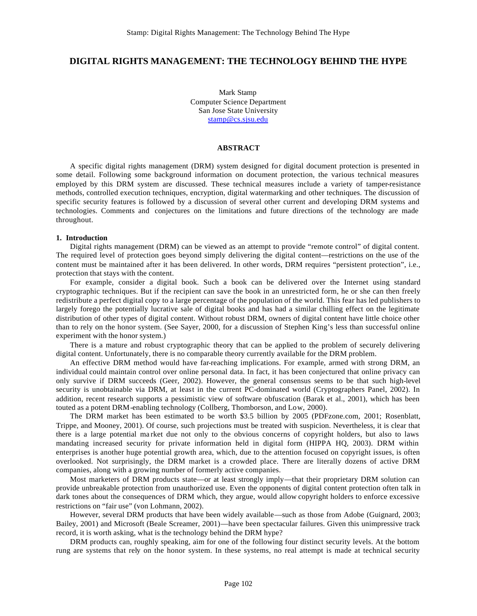# **DIGITAL RIGHTS MANAGEMENT: THE TECHNOLOGY BEHIND THE HYPE**

Mark Stamp Computer Science Department San Jose State University stamp@cs.sjsu.edu

#### **ABSTRACT**

A specific digital rights management (DRM) system designed for digital document protection is presented in some detail. Following some background information on document protection, the various technical measures employed by this DRM system are discussed. These technical measures include a variety of tamper-resistance methods, controlled execution techniques, encryption, digital watermarking and other techniques. The discussion of specific security features is followed by a discussion of several other current and developing DRM systems and technologies. Comments and conjectures on the limitations and future directions of the technology are made throughout.

#### **1. Introduction**

Digital rights management (DRM) can be viewed as an attempt to provide "remote control" of digital content. The required level of protection goes beyond simply delivering the digital content—restrictions on the use of the content must be maintained after it has been delivered. In other words, DRM requires "persistent protection", i.e., protection that stays with the content.

For example, consider a digital book. Such a book can be delivered over the Internet using standard cryptographic techniques. But if the recipient can save the book in an unrestricted form, he or she can then freely redistribute a perfect digital copy to a large percentage of the population of the world. This fear has led publishers to largely forego the potentially lucrative sale of digital books and has had a similar chilling effect on the legitimate distribution of other types of digital content. Without robust DRM, owners of digital content have little choice other than to rely on the honor system. (See Sayer, 2000, for a discussion of Stephen King's less than successful online experiment with the honor system.)

There is a mature and robust cryptographic theory that can be applied to the problem of securely delivering digital content. Unfortunately, there is no comparable theory currently available for the DRM problem.

An effective DRM method would have far-reaching implications. For example, armed with strong DRM, an individual could maintain control over online personal data. In fact, it has been conjectured that online privacy can only survive if DRM succeeds (Geer, 2002). However, the general consensus seems to be that such high-level security is unobtainable via DRM, at least in the current PC-dominated world (Cryptographers Panel, 2002). In addition, recent research supports a pessimistic view of software obfuscation (Barak et al., 2001), which has been touted as a potent DRM-enabling technology (Collberg, Thomborson, and Low, 2000).

The DRM market has been estimated to be worth \$3.5 billion by 2005 (PDFzone.com, 2001; Rosenblatt, Trippe, and Mooney, 2001). Of course, such projections must be treated with suspicion. Nevertheless, it is clear that there is a large potential ma rket due not only to the obvious concerns of copyright holders, but also to laws mandating increased security for private information held in digital form (HIPPA HQ, 2003). DRM within enterprises is another huge potential growth area, which, due to the attention focused on copyright issues, is often overlooked. Not surprisingly, the DRM market is a crowded place. There are literally dozens of active DRM companies, along with a growing number of formerly active companies.

Most marketers of DRM products state—or at least strongly imply—that their proprietary DRM solution can provide unbreakable protection from unauthorized use. Even the opponents of digital content protection often talk in dark tones about the consequences of DRM which, they argue, would allow copyright holders to enforce excessive restrictions on "fair use" (von Lohmann, 2002).

However, several DRM products that have been widely available—such as those from Adobe (Guignard, 2003; Bailey, 2001) and Microsoft (Beale Screamer, 2001)—have been spectacular failures. Given this unimpressive track record, it is worth asking, what is the technology behind the DRM hype?

DRM products can, roughly speaking, aim for one of the following four distinct security levels. At the bottom rung are systems that rely on the honor system. In these systems, no real attempt is made at technical security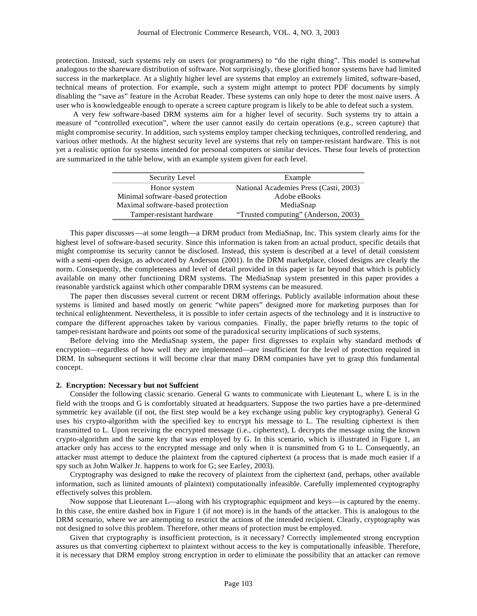protection. Instead, such systems rely on users (or programmers) to "do the right thing". This model is somewhat analogous to the shareware distribution of software. Not surprisingly, these glorified honor systems have had limited success in the marketplace. At a slightly higher level are systems that employ an extremely limited, software-based, technical means of protection. For example, such a system might attempt to protect PDF documents by simply disabling the "save as" feature in the Acrobat Reader. These systems can only hope to deter the most naive users. A user who is knowledgeable enough to operate a screen capture program is likely to be able to defeat such a system.

 A very few software-based DRM systems aim for a higher level of security. Such systems try to attain a measure of "controlled execution", where the user cannot easily do certain operations (e.g., screen capture) that might compromise security. In addition, such systems employ tamper checking techniques, controlled rendering, and various other methods. At the highest security level are systems that rely on tamper-resistant hardware. This is not yet a realistic option for systems intended for personal computers or similar devices. These four levels of protection are summarized in the table below, with an example system given for each level.

| Security Level                    | Example                                |
|-----------------------------------|----------------------------------------|
| Honor system                      | National Academies Press (Casti, 2003) |
| Minimal software-based protection | Adobe eBooks                           |
| Maximal software-based protection | MediaSnap                              |
| Tamper-resistant hardware         | "Trusted computing" (Anderson, 2003)   |

This paper discusses—at some length—a DRM product from MediaSnap, Inc. This system clearly aims for the highest level of software-based security. Since this information is taken from an actual product, specific details that might compromise its security cannot be disclosed. Instead, this system is described at a level of detail consistent with a semi-open design, as advocated by Anderson (2001). In the DRM marketplace, closed designs are clearly the norm. Consequently, the completeness and level of detail provided in this paper is far beyond that which is publicly available on many other functioning DRM systems. The MediaSnap system presented in this paper provides a reasonable yardstick against which other comparable DRM systems can be measured.

The paper then discusses several current or recent DRM offerings. Publicly available information about these systems is limited and based mostly on generic "white papers" designed more for marketing purposes than for technical enlightenment. Nevertheless, it is possible to infer certain aspects of the technology and it is instructive to compare the different approaches taken by various companies. Finally, the paper briefly returns to the topic of tamper-resistant hardware and points out some of the paradoxical security implications of such systems.

Before delving into the MediaSnap system, the paper first digresses to explain why standard methods of encryption—regardless of how well they are implemented—are insufficient for the level of protection required in DRM. In subsequent sections it will become clear that many DRM companies have yet to grasp this fundamental concept.

## **2. Encryption: Necessary but not Suffcient**

Consider the following classic scenario. General G wants to communicate with Lieutenant L, where L is in the field with the troops and G is comfortably situated at headquarters. Suppose the two parties have a pre-determined symmetric key available (if not, the first step would be a key exchange using public key cryptography). General G uses his crypto-algorithm with the specified key to encrypt his message to L. The resulting ciphertext is then transmitted to L. Upon receiving the encrypted message (i.e., ciphertext), L decrypts the message using the known crypto-algorithm and the same key that was employed by G. In this scenario, which is illustrated in Figure 1, an attacker only has access to the encrypted message and only when it is transmitted from G to L. Consequently, an attacker must attempt to deduce the plaintext from the captured ciphertext (a process that is made much easier if a spy such as John Walker Jr. happens to work for G; see Earley, 2003).

Cryptography was designed to make the recovery of plaintext from the ciphertext (and, perhaps, other available information, such as limited amounts of plaintext) computationally infeasible. Carefully implemented cryptography effectively solves this problem.

Now suppose that Lieutenant L—along with his cryptographic equipment and keys—is captured by the enemy. In this case, the entire dashed box in Figure 1 (if not more) is in the hands of the attacker. This is analogous to the DRM scenario, where we are attempting to restrict the actions of the intended recipient. Clearly, cryptography was not designed to solve this problem. Therefore, other means of protection must be employed.

Given that cryptography is insufficient protection, is it necessary? Correctly implemented strong encryption assures us that converting ciphertext to plaintext without access to the key is computationally infeasible. Therefore, it is necessary that DRM employ strong encryption in order to eliminate the possibility that an attacker can remove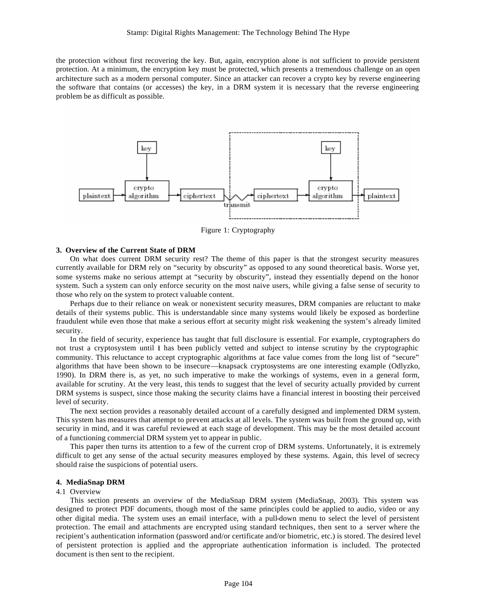the protection without first recovering the key. But, again, encryption alone is not sufficient to provide persistent protection. At a minimum, the encryption key must be protected, which presents a tremendous challenge on an open architecture such as a modern personal computer. Since an attacker can recover a crypto key by reverse engineering the software that contains (or accesses) the key, in a DRM system it is necessary that the reverse engineering problem be as difficult as possible.



Figure 1: Cryptography

#### **3. Overview of the Current State of DRM**

On what does current DRM security rest? The theme of this paper is that the strongest security measures currently available for DRM rely on "security by obscurity" as opposed to any sound theoretical basis. Worse yet, some systems make no serious attempt at "security by obscurity", instead they essentially depend on the honor system. Such a system can only enforce security on the most naive users, while giving a false sense of security to those who rely on the system to protect valuable content.

Perhaps due to their reliance on weak or nonexistent security measures, DRM companies are reluctant to make details of their systems public. This is understandable since many systems would likely be exposed as borderline fraudulent while even those that make a serious effort at security might risk weakening the system's already limited security.

In the field of security, experience has taught that full disclosure is essential. For example, cryptographers do not trust a cryptosystem until it has been publicly vetted and subject to intense scrutiny by the cryptographic community. This reluctance to accept cryptographic algorithms at face value comes from the long list of "secure" algorithms that have been shown to be insecure—knapsack cryptosystems are one interesting example (Odlyzko, 1990). In DRM there is, as yet, no such imperative to make the workings of systems, even in a general form, available for scrutiny. At the very least, this tends to suggest that the level of security actually provided by current DRM systems is suspect, since those making the security claims have a financial interest in boosting their perceived level of security.

The next section provides a reasonably detailed account of a carefully designed and implemented DRM system. This system has measures that attempt to prevent attacks at all levels. The system was built from the ground up, with security in mind, and it was careful reviewed at each stage of development. This may be the most detailed account of a functioning commercial DRM system yet to appear in public.

This paper then turns its attention to a few of the current crop of DRM systems. Unfortunately, it is extremely difficult to get any sense of the actual security measures employed by these systems. Again, this level of secrecy should raise the suspicions of potential users.

#### **4. MediaSnap DRM**

#### 4.1 Overview

This section presents an overview of the MediaSnap DRM system (MediaSnap, 2003). This system was designed to protect PDF documents, though most of the same principles could be applied to audio, video or any other digital media. The system uses an email interface, with a pull-down menu to select the level of persistent protection. The email and attachments are encrypted using standard techniques, then sent to a server where the recipient's authentication information (password and/or certificate and/or biometric, etc.) is stored. The desired level of persistent protection is applied and the appropriate authentication information is included. The protected document is then sent to the recipient.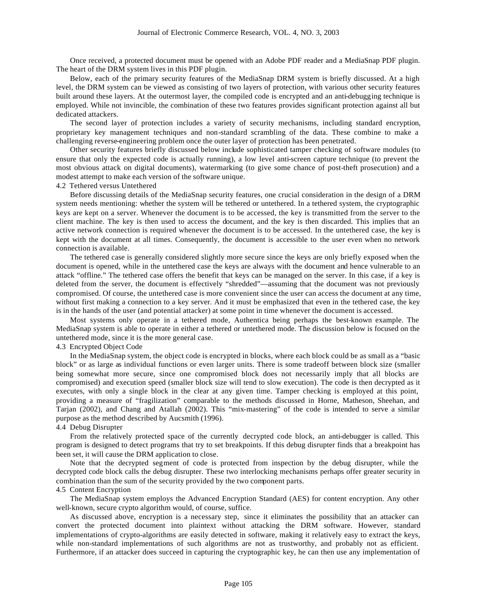Once received, a protected document must be opened with an Adobe PDF reader and a MediaSnap PDF plugin. The heart of the DRM system lives in this PDF plugin.

Below, each of the primary security features of the MediaSnap DRM system is briefly discussed. At a high level, the DRM system can be viewed as consisting of two layers of protection, with various other security features built around these layers. At the outermost layer, the compiled code is encrypted and an anti-debugging technique is employed. While not invincible, the combination of these two features provides significant protection against all but dedicated attackers.

The second layer of protection includes a variety of security mechanisms, including standard encryption, proprietary key management techniques and non-standard scrambling of the data. These combine to make a challenging reverse-engineering problem once the outer layer of protection has been penetrated.

Other security features briefly discussed below include sophisticated tamper checking of software modules (to ensure that only the expected code is actually running), a low level anti-screen capture technique (to prevent the most obvious attack on digital documents), watermarking (to give some chance of post-theft prosecution) and a modest attempt to make each version of the software unique.

### 4.2 Tethered versus Untethered

Before discussing details of the MediaSnap security features, one crucial consideration in the design of a DRM system needs mentioning: whether the system will be tethered or untethered. In a tethered system, the cryptographic keys are kept on a server. Whenever the document is to be accessed, the key is transmitted from the server to the client machine. The key is then used to access the document, and the key is then discarded. This implies that an active network connection is required whenever the document is to be accessed. In the untethered case, the key is kept with the document at all times. Consequently, the document is accessible to the user even when no network connection is available.

The tethered case is generally considered slightly more secure since the keys are only briefly exposed when the document is opened, while in the untethered case the keys are always with the document and hence vulnerable to an attack "offline." The tethered case offers the benefit that keys can be managed on the server. In this case, if a key is deleted from the server, the document is effectively "shredded"—assuming that the document was not previously compromised. Of course, the untethered case is more convenient since the user can access the document at any time, without first making a connection to a key server. And it must be emphasized that even in the tethered case, the key is in the hands of the user (and potential attacker) at some point in time whenever the document is accessed.

Most systems only operate in a tethered mode, Authentica being perhaps the best-known example. The MediaSnap system is able to operate in either a tethered or untethered mode. The discussion below is focused on the untethered mode, since it is the more general case.

## 4.3 Encrypted Object Code

In the MediaSnap system, the object code is encrypted in blocks, where each block could be as small as a "basic block" or as large as individual functions or even larger units. There is some tradeoff between block size (smaller being somewhat more secure, since one compromised block does not necessarily imply that all blocks are compromised) and execution speed (smaller block size will tend to slow execution). The code is then decrypted as it executes, with only a single block in the clear at any given time. Tamper checking is employed at this point, providing a measure of "fragilization" comparable to the methods discussed in Horne, Matheson, Sheehan, and Tarjan (2002), and Chang and Atallah (2002). This "mix-mastering" of the code is intended to serve a similar purpose as the method described by Aucsmith (1996).

#### 4.4 Debug Disrupter

From the relatively protected space of the currently decrypted code block, an anti-debugger is called. This program is designed to detect programs that try to set breakpoints. If this debug disrupter finds that a breakpoint has been set, it will cause the DRM application to close.

Note that the decrypted segment of code is protected from inspection by the debug disrupter, while the decrypted code block calls the debug disrupter. These two interlocking mechanisms perhaps offer greater security in combination than the sum of the security provided by the two component parts.

### 4.5 Content Encryption

The MediaSnap system employs the Advanced Encryption Standard (AES) for content encryption. Any other well-known, secure crypto algorithm would, of course, suffice.

As discussed above, encryption is a necessary step, since it eliminates the possibility that an attacker can convert the protected document into plaintext without attacking the DRM software. However, standard implementations of crypto-algorithms are easily detected in software, making it relatively easy to extract the keys, while non-standard implementations of such algorithms are not as trustworthy, and probably not as efficient. Furthermore, if an attacker does succeed in capturing the cryptographic key, he can then use any implementation of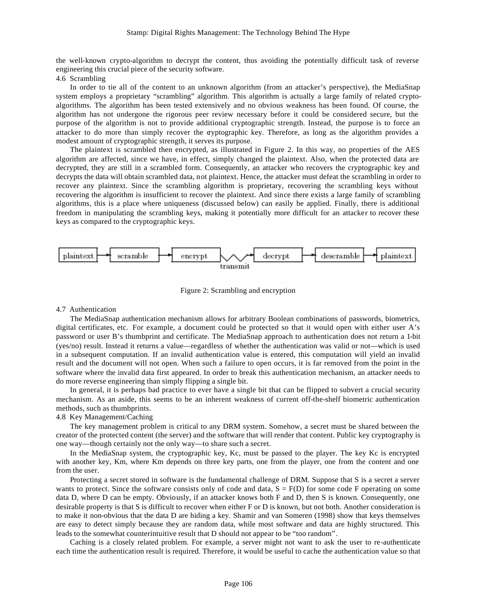the well-known crypto-algorithm to decrypt the content, thus avoiding the potentially difficult task of reverse engineering this crucial piece of the security software.

## 4.6 Scrambling

In order to tie all of the content to an unknown algorithm (from an attacker's perspective), the MediaSnap system employs a proprietary "scrambling" algorithm. This algorithm is actually a large family of related cryptoalgorithms. The algorithm has been tested extensively and no obvious weakness has been found. Of course, the algorithm has not undergone the rigorous peer review necessary before it could be considered secure, but the purpose of the algorithm is not to provide additional cryptographic strength. Instead, the purpose is to force an attacker to do more than simply recover the cryptographic key. Therefore, as long as the algorithm provides a modest amount of cryptographic strength, it serves its purpose.

The plaintext is scrambled then encrypted, as illustrated in Figure 2. In this way, no properties of the AES algorithm are affected, since we have, in effect, simply changed the plaintext. Also, when the protected data are decrypted, they are still in a scrambled form. Consequently, an attacker who recovers the cryptographic key and decrypts the data will obtain scrambled data, not plaintext. Hence, the attacker must defeat the scrambling in order to recover any plaintext. Since the scrambling algorithm is proprietary, recovering the scrambling keys without recovering the algorithm is insufficient to recover the plaintext. And since there exists a large family of scrambling algorithms, this is a place where uniqueness (discussed below) can easily be applied. Finally, there is additional freedom in manipulating the scrambling keys, making it potentially more difficult for an attacker to recover these keys as compared to the cryptographic keys.



Figure 2: Scrambling and encryption

## 4.7 Authentication

The MediaSnap authentication mechanism allows for arbitrary Boolean combinations of passwords, biometrics, digital certificates, etc. For example, a document could be protected so that it would open with either user A's password or user B's thumbprint and certificate. The MediaSnap approach to authentication does not return a 1-bit (yes/no) result. Instead it returns a value—regardless of whether the authentication was valid or not—which is used in a subsequent computation. If an invalid authentication value is entered, this computation will yield an invalid result and the document will not open. When such a failure to open occurs, it is far removed from the point in the software where the invalid data first appeared. In order to break this authentication mechanism, an attacker needs to do more reverse engineering than simply flipping a single bit.

In general, it is perhaps bad practice to ever have a single bit that can be flipped to subvert a crucial security mechanism. As an aside, this seems to be an inherent weakness of current off-the-shelf biometric authentication methods, such as thumbprints.

#### 4.8 Key Management/Caching

The key management problem is critical to any DRM system. Somehow, a secret must be shared between the creator of the protected content (the server) and the software that will render that content. Public key cryptography is one way—though certainly not the only way—to share such a secret.

In the MediaSnap system, the cryptographic key, Kc, must be passed to the player. The key Kc is encrypted with another key, Km, where Km depends on three key parts, one from the player, one from the content and one from the user.

Protecting a secret stored in software is the fundamental challenge of DRM. Suppose that S is a secret a server wants to protect. Since the software consists only of code and data,  $S = F(D)$  for some code F operating on some data D, where D can be empty. Obviously, if an attacker knows both F and D, then S is known. Consequently, one desirable property is that S is difficult to recover when either F or D is known, but not both. Another consideration is to make it non-obvious that the data D are hiding a key. Shamir and van Someren (1998) show that keys themselves are easy to detect simply because they are random data, while most software and data are highly structured. This leads to the somewhat counterintuitive result that D should not appear to be "too random".

Caching is a closely related problem. For example, a server might not want to ask the user to re-authenticate each time the authentication result is required. Therefore, it would be useful to cache the authentication value so that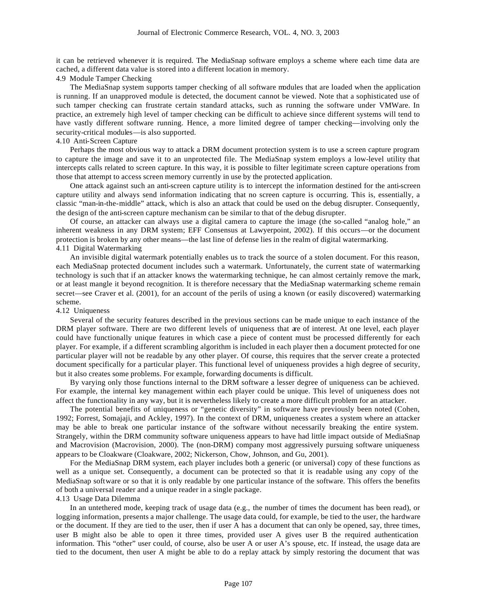it can be retrieved whenever it is required. The MediaSnap software employs a scheme where each time data are cached, a different data value is stored into a different location in memory.

4.9 Module Tamper Checking

The MediaSnap system supports tamper checking of all software modules that are loaded when the application is running. If an unapproved module is detected, the document cannot be viewed. Note that a sophisticated use of such tamper checking can frustrate certain standard attacks, such as running the software under VMWare. In practice, an extremely high level of tamper checking can be difficult to achieve since different systems will tend to have vastly different software running. Hence, a more limited degree of tamper checking—involving only the security-critical modules—is also supported.

## 4.10 Anti-Screen Capture

Perhaps the most obvious way to attack a DRM document protection system is to use a screen capture program to capture the image and save it to an unprotected file. The MediaSnap system employs a low-level utility that intercepts calls related to screen capture. In this way, it is possible to filter legitimate screen capture operations from those that attempt to access screen memory currently in use by the protected application.

One attack against such an anti-screen capture utility is to intercept the information destined for the anti-screen capture utility and always send information indicating that no screen capture is occurring. This is, essentially, a classic "man-in-the-middle" attack, which is also an attack that could be used on the debug disrupter. Consequently, the design of the anti-screen capture mechanism can be similar to that of the debug disrupter.

Of course, an attacker can always use a digital camera to capture the image (the so-called "analog hole," an inherent weakness in any DRM system; EFF Consensus at Lawyerpoint, 2002). If this occurs—or the document protection is broken by any other means—the last line of defense lies in the realm of digital watermarking. 4.11 Digital Watermarking

An invisible digital watermark potentially enables us to track the source of a stolen document. For this reason, each MediaSnap protected document includes such a watermark. Unfortunately, the current state of watermarking technology is such that if an attacker knows the watermarking technique, he can almost certainly remove the mark, or at least mangle it beyond recognition. It is therefore necessary that the MediaSnap watermarking scheme remain secret—see Craver et al. (2001), for an account of the perils of using a known (or easily discovered) watermarking scheme.

## 4.12 Uniqueness

Several of the security features described in the previous sections can be made unique to each instance of the DRM player software. There are two different levels of uniqueness that are of interest. At one level, each player could have functionally unique features in which case a piece of content must be processed differently for each player. For example, if a different scrambling algorithm is included in each player then a document protected for one particular player will not be readable by any other player. Of course, this requires that the server create a protected document specifically for a particular player. This functional level of uniqueness provides a high degree of security, but it also creates some problems. For example, forwarding documents is difficult.

By varying only those functions internal to the DRM software a lesser degree of uniqueness can be achieved. For example, the internal key management within each player could be unique. This level of uniqueness does not affect the functionality in any way, but it is nevertheless likely to create a more difficult problem for an attacker.

The potential benefits of uniqueness or "genetic diversity" in software have previously been noted (Cohen, 1992; Forrest, Somajaji, and Ackley, 1997). In the context of DRM, uniqueness creates a system where an attacker may be able to break one particular instance of the software without necessarily breaking the entire system. Strangely, within the DRM community software uniqueness appears to have had little impact outside of MediaSnap and Macrovision (Macrovision, 2000). The (non-DRM) company most aggressively pursuing software uniqueness appears to be Cloakware (Cloakware, 2002; Nickerson, Chow, Johnson, and Gu, 2001).

For the MediaSnap DRM system, each player includes both a generic (or universal) copy of these functions as well as a unique set. Consequently, a document can be protected so that it is readable using any copy of the MediaSnap software or so that it is only readable by one particular instance of the software. This offers the benefits of both a universal reader and a unique reader in a single package.

#### 4.13 Usage Data Dilemma

In an untethered mode, keeping track of usage data (e.g., the number of times the document has been read), or logging information, presents a major challenge. The usage data could, for example, be tied to the user, the hardware or the document. If they are tied to the user, then if user A has a document that can only be opened, say, three times, user B might also be able to open it three times, provided user A gives user B the required authentication information. This "other" user could, of course, also be user A or user A's spouse, etc. If instead, the usage data are tied to the document, then user A might be able to do a replay attack by simply restoring the document that was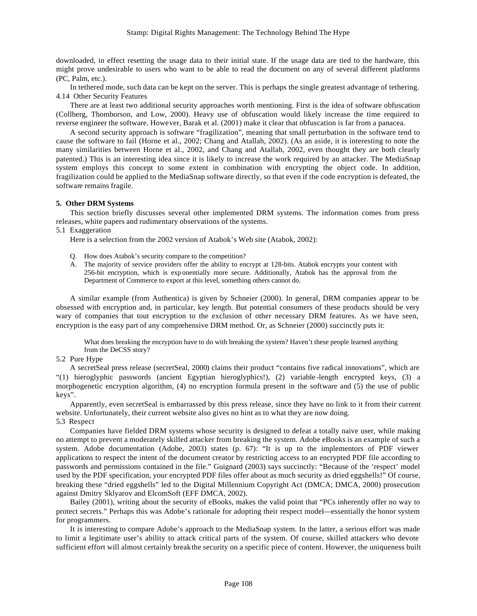downloaded, in effect resetting the usage data to their initial state. If the usage data are tied to the hardware, this might prove undesirable to users who want to be able to read the document on any of several different platforms (PC, Palm, etc.).

In tethered mode, such data can be kept on the server. This is perhaps the single greatest advantage of tethering. 4.14 Other Security Features

There are at least two additional security approaches worth mentioning. First is the idea of software obfuscation (Collberg, Thomborson, and Low, 2000). Heavy use of obfuscation would likely increase the time required to reverse engineer the software. However, Barak et al. (2001) make it clear that obfuscation is far from a panacea.

A second security approach is software "fragilization", meaning that small perturbation in the software tend to cause the software to fail (Horne et al., 2002; Chang and Atallah, 2002). (As an aside, it is interesting to note the many similarities between Horne et al., 2002, and Chang and Atallah, 2002, even thought they are both clearly patented.) This is an interesting idea since it is likely to increase the work required by an attacker. The MediaSnap system employs this concept to some extent in combination with encrypting the object code. In addition, fragilization could be applied to the MediaSnap software directly, so that even if the code encryption is defeated, the software remains fragile.

### **5. Other DRM Systems**

This section briefly discusses several other implemented DRM systems. The information comes from press releases, white papers and rudimentary observations of the systems.

#### 5.1 Exaggeration

Here is a selection from the 2002 version of Atabok's Web site (Atabok, 2002):

- Q. How does Atabok's security compare to the competition?
- A. The majority of service providers offer the ability to encrypt at 128-bits. Atabok encrypts your content with 256-bit encryption, which is exp onentially more secure. Additionally, Atabok has the approval from the Department of Commerce to export at this level, something others cannot do.

A similar example (from Authentica) is given by Schneier (2000). In general, DRM companies appear to be obsessed with encryption and, in particular, key length. But potential consumers of these products should be very wary of companies that tout encryption to the exclusion of other necessary DRM features. As we have seen, encryption is the easy part of any comprehensive DRM method. Or, as Schneier (2000) succinctly puts it:

What does breaking the encryption have to do with breaking the system? Haven't these people learned anything from the DeCSS story?

## 5.2 Pure Hype

A secretSeal press release (secretSeal, 2000) claims their product "contains five radical innovations", which are "(1) hieroglyphic passwords (ancient Egyptian hieroglyphics!), (2) variable -length encrypted keys, (3) a morphogenetic encryption algorithm, (4) no encryption formula present in the software and (5) the use of public keys".

Apparently, even secretSeal is embarrassed by this press release, since they have no link to it from their current website. Unfortunately, their current website also gives no hint as to what they are now doing. 5.3 Respect

Companies have fielded DRM systems whose security is designed to defeat a totally naive user, while making no attempt to prevent a moderately skilled attacker from breaking the system. Adobe eBooks is an example of such a system. Adobe documentation (Adobe, 2003) states (p. 67): "It is up to the implementors of PDF viewer applications to respect the intent of the document creator by restricting access to an encrypted PDF file according to passwords and permissions contained in the file." Guignard (2003) says succinctly: "Because of the 'respect' model used by the PDF specification, your encrypted PDF files offer about as much security as dried eggshells!" Of course, breaking these "dried eggshells" led to the Digital Millennium Copyright Act (DMCA; DMCA, 2000) prosecution against Dmitry Sklyarov and ElcomSoft (EFF DMCA, 2002).

Bailey (2001), writing about the security of eBooks, makes the valid point that "PCs inherently offer no way to protect secrets." Perhaps this was Adobe's rationale for adopting their respect model—essentially the honor system for programmers.

It is interesting to compare Adobe's approach to the MediaSnap system. In the latter, a serious effort was made to limit a legitimate user's ability to attack critical parts of the system. Of course, skilled attackers who devote sufficient effort will almost certainly break the security on a specific piece of content. However, the uniqueness built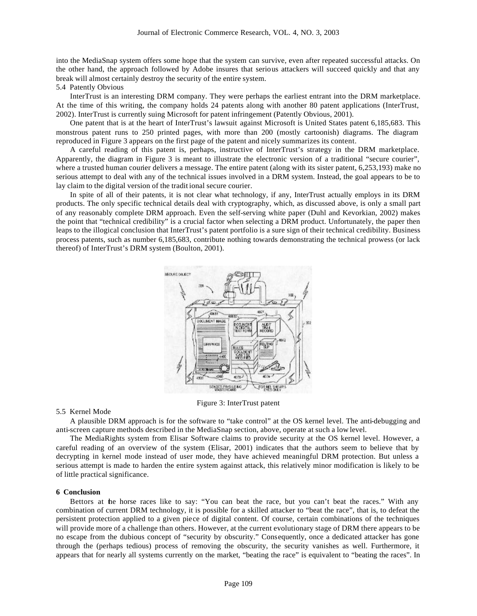into the MediaSnap system offers some hope that the system can survive, even after repeated successful attacks. On the other hand, the approach followed by Adobe insures that serious attackers will succeed quickly and that any break will almost certainly destroy the security of the entire system.

5.4 Patently Obvious

InterTrust is an interesting DRM company. They were perhaps the earliest entrant into the DRM marketplace. At the time of this writing, the company holds 24 patents along with another 80 patent applications (InterTrust, 2002). InterTrust is currently suing Microsoft for patent infringement (Patently Obvious, 2001).

One patent that is at the heart of InterTrust's lawsuit against Microsoft is United States patent 6,185,683. This monstrous patent runs to 250 printed pages, with more than 200 (mostly cartoonish) diagrams. The diagram reproduced in Figure 3 appears on the first page of the patent and nicely summarizes its content.

A careful reading of this patent is, perhaps, instructive of InterTrust's strategy in the DRM marketplace. Apparently, the diagram in Figure 3 is meant to illustrate the electronic version of a traditional "secure courier", where a trusted human courier delivers a message. The entire patent (along with its sister patent, 6,253,193) make no serious attempt to deal with any of the technical issues involved in a DRM system. Instead, the goal appears to be to lay claim to the digital version of the tradit ional secure courier.

In spite of all of their patents, it is not clear what technology, if any, InterTrust actually employs in its DRM products. The only specific technical details deal with cryptography, which, as discussed above, is only a small part of any reasonably complete DRM approach. Even the self-serving white paper (Duhl and Kevorkian, 2002) makes the point that "technical credibility" is a crucial factor when selecting a DRM product. Unfortunately, the paper then leaps to the illogical conclusion that InterTrust's patent portfolio is a sure sign of their technical credibility. Business process patents, such as number 6,185,683, contribute nothing towards demonstrating the technical prowess (or lack thereof) of InterTrust's DRM system (Boulton, 2001).



Figure 3: InterTrust patent

#### 5.5 Kernel Mode

A plausible DRM approach is for the software to "take control" at the OS kernel level. The anti-debugging and anti-screen capture methods described in the MediaSnap section, above, operate at such a low level.

The MediaRights system from Elisar Software claims to provide security at the OS kernel level. However, a careful reading of an overview of the system (Elisar, 2001) indicates that the authors seem to believe that by decrypting in kernel mode instead of user mode, they have achieved meaningful DRM protection. But unless a serious attempt is made to harden the entire system against attack, this relatively minor modification is likely to be of little practical significance.

#### **6 Conclusion**

Bettors at the horse races like to say: "You can beat the race, but you can't beat the races." With any combination of current DRM technology, it is possible for a skilled attacker to "beat the race", that is, to defeat the persistent protection applied to a given piece of digital content. Of course, certain combinations of the techniques will provide more of a challenge than others. However, at the current evolutionary stage of DRM there appears to be no escape from the dubious concept of "security by obscurity." Consequently, once a dedicated attacker has gone through the (perhaps tedious) process of removing the obscurity, the security vanishes as well. Furthermore, it appears that for nearly all systems currently on the market, "beating the race" is equivalent to "beating the races". In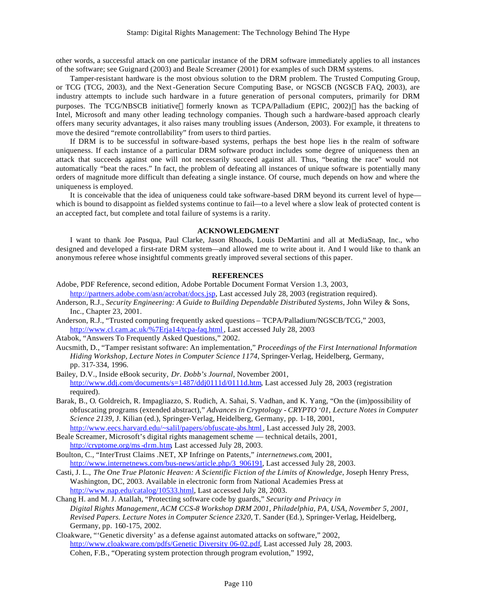other words, a successful attack on one particular instance of the DRM software immediately applies to all instances of the software; see Guignard (2003) and Beale Screamer (2001) for examples of such DRM systems.

Tamper-resistant hardware is the most obvious solution to the DRM problem. The Trusted Computing Group, or TCG (TCG, 2003), and the Next-Generation Secure Computing Base, or NGSCB (NGSCB FAQ, 2003), are industry attempts to include such hardware in a future generation of personal computers, primarily for DRM purposes. The TCG/NBSCB initiative—formerly known as TCPA/Palladium (EPIC, 2002)—has the backing of Intel, Microsoft and many other leading technology companies. Though such a hardware-based approach clearly offers many security advantages, it also raises many troubling issues (Anderson, 2003). For example, it threatens to move the desired "remote controllability" from users to third parties.

If DRM is to be successful in software-based systems, perhaps the best hope lies in the realm of software uniqueness. If each instance of a particular DRM software product includes some degree of uniqueness then an attack that succeeds against one will not necessarily succeed against all. Thus, "beating the race" would not automatically "beat the races." In fact, the problem of defeating all instances of unique software is potentially many orders of magnitude more difficult than defeating a single instance. Of course, much depends on how and where the uniqueness is employed.

It is conceivable that the idea of uniqueness could take software-based DRM beyond its current level of hype which is bound to disappoint as fielded systems continue to fail—to a level where a slow leak of protected content is an accepted fact, but complete and total failure of systems is a rarity.

## **ACKNOWLEDGMENT**

I want to thank Joe Pasqua, Paul Clarke, Jason Rhoads, Louis DeMartini and all at MediaSnap, Inc., who designed and developed a first-rate DRM system—and allowed me to write about it. And I would like to thank an anonymous referee whose insightful comments greatly improved several sections of this paper.

### **REFERENCES**

- Adobe, PDF Reference, second edition, Adobe Portable Document Format Version 1.3, 2003, http://partners.adobe.com/asn/acrobat/docs.jsp, Last accessed July 28, 2003 (registration required).
- Anderson, R.J., *Security Engineering: A Guide to Building Dependable Distributed Systems*, John Wiley & Sons, Inc., Chapter 23, 2001.
- Anderson, R.J., "Trusted computing frequently asked questions TCPA/Palladium/NGSCB/TCG," 2003, http://www.cl.cam.ac.uk/%7Erja14/tcpa-faq.html, Last accessed July 28, 2003
- Atabok, "Answers To Frequently Asked Questions," 2002.
- Aucsmith, D., "Tamper resistant software: An implementation," *Proceedings of the First International Information Hiding Workshop, Lecture Notes in Computer Science 1174*, Springer-Verlag, Heidelberg, Germany, pp. 317-334, 1996.
- Bailey, D.V., Inside eBook security, *Dr. Dobb's Journal*, November 2001, http://www.ddj.com/documents/s=1487/ddj0111d/0111d.htm, Last accessed July 28, 2003 (registration required).
- Barak, B., O. Goldreich, R. Impagliazzo, S. Rudich, A. Sahai, S. Vadhan, and K. Yang, "On the (im)possibility of obfuscating programs (extended abstract)," *Advances in Cryptology - CRYPTO '01*, *Lecture Notes in Computer Science 2139*, J. Kilian (ed.), Springer-Verlag, Heidelberg, Germany, pp. 1-18, 2001, http://www.eecs.harvard.edu/~salil/papers/obfuscate-abs.html, Last accessed July 28, 2003.
- Beale Screamer, Microsoft's digital rights management scheme technical details, 2001, http://cryptome.org/ms-drm.htm, Last accessed July 28, 2003.
- Boulton, C., "InterTrust Claims .NET, XP Infringe on Patents," *internetnews.com*, 2001, http://www.internetnews.com/bus-news/article.php/3\_906191, Last accessed July 28, 2003.
- Casti, J. L., *The One True Platonic Heaven: A Scientific Fiction of the Limits of Knowledge*, Joseph Henry Press, Washington, DC, 2003. Available in electronic form from National Academies Press at http://www.nap.edu/catalog/10533.html, Last accessed July 28, 2003.
- Chang H. and M. J. Atallah, "Protecting software code by guards," *Security and Privacy in Digital Rights Management*, *ACM CCS-8 Workshop DRM 2001, Philadelphia, PA, USA, November 5, 2001, Revised Papers. Lecture Notes in Computer Science 2320,* T. Sander (Ed.), Springer-Verlag, Heidelberg, Germany, pp. 160-175, 2002.
- Cloakware, "'Genetic diversity' as a defense against automated attacks on software," 2002, http://www.cloakware.com/pdfs/Genetic Diversity 06-02.pdf, Last accessed July 28, 2003. Cohen, F.B., "Operating system protection through program evolution," 1992,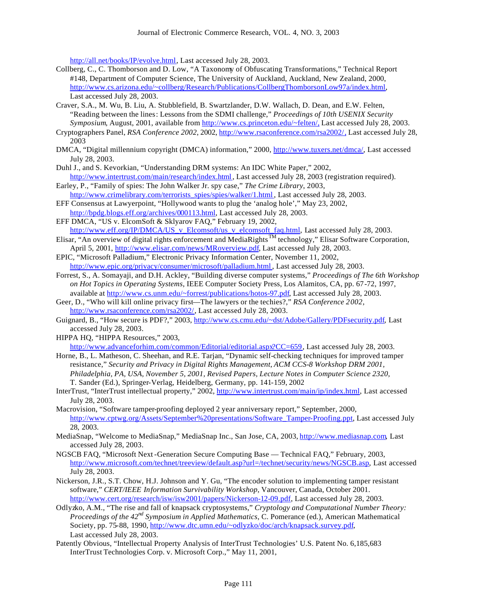http://all.net/books/IP/evolve.html, Last accessed July 28, 2003.

- Collberg, C., C. Thomborson and D. Low, "A Taxonomy of Obfuscating Transformations," Technical Report #148, Department of Computer Science, The University of Auckland, Auckland, New Zealand, 2000, http://www.cs.arizona.edu/~collberg/Research/Publications/CollbergThomborsonLow97a/index.html, Last accessed July 28, 2003.
- Craver, S.A., M. Wu, B. Liu, A. Stubblefield, B. Swartzlander, D.W. Wallach, D. Dean, and E.W. Felten, "Reading between the lines: Lessons from the SDMI challenge," *Proceedings of 10th USENIX Security Symposium*, August, 2001, available from http://www.cs.princeton.edu/~felten/, Last accessed July 28, 2003.
- Cryptographers Panel, *RSA Conference 2002*, 2002, http://www.rsaconference.com/rsa2002/, Last accessed July 28, 2003
- DMCA, "Digital millennium copyright (DMCA) information," 2000, http://www.tuxers.net/dmca/, Last accessed July 28, 2003.
- Duhl J., and S. Kevorkian, "Understanding DRM systems: An IDC White Paper," 2002, http://www.intertrust.com/main/research/index.html, Last accessed July 28, 2003 (registration required).
- Earley, P., "Family of spies: The John Walker Jr. spy case," *The Crime Library*, 2003, http://www.crimelibrary.com/terrorists\_spies/spies/walker/1.html , Last accessed July 28, 2003.
- EFF Consensus at Lawyerpoint, "Hollywood wants to plug the 'analog hole'," May 23, 2002, http://bpdg.blogs.eff.org/archives/000113.html, Last accessed July 28, 2003.
- EFF DMCA, "US v. ElcomSoft & Sklyarov FAQ," February 19, 2002,
- http://www.eff.org/IP/DMCA/US\_v\_Elcomsoft/us\_v\_elcomsoft\_faq.html, Last accessed July 28, 2003. Elisar, "An overview of digital rights enforcement and MediaRights<sup>TM</sup> technology," Elisar Software Corporation, April 5, 2001, http://www.elisar.com/news/MRoverview.pdf, Last accessed July 28, 2003.
- EPIC, "Microsoft Palladium," Electronic Privacy Information Center, November 11, 2002, http://www.epic.org/privacy/consumer/microsoft/palladium.html , Last accessed July 28, 2003.
- Forrest, S., A. Somayaji, and D.H. Ackley, "Building diverse computer systems," *Proceedings of The 6th Workshop on Hot Topics in Operating Systems*, IEEE Computer Society Press, Los Alamitos, CA, pp. 67-72, 1997, available at http://www.cs.unm.edu/~forrest/publications/hotos-97.pdf, Last accessed July 28, 2003.
- Geer, D., "Who will kill online privacy first—The lawyers or the techies?," *RSA Conference 2002*, http://www.rsaconference.com/rsa2002/, Last accessed July 28, 2003.
- Guignard, B., "How secure is PDF?," 2003, http://www.cs.cmu.edu/~dst/Adobe/Gallery/PDFsecurity.pdf, Last accessed July 28, 2003.
- HIPPA HQ, "HIPPA Resources," 2003,

http://www.advanceforhim.com/common/Editorial/editorial.aspx?CC=659, Last accessed July 28, 2003.

- Horne, B., L. Matheson, C. Sheehan, and R.E. Tarjan, "Dynamic self-checking techniques for improved tamper resistance," *Security and Privacy in Digital Rights Management*, *ACM CCS-8 Workshop DRM 2001, Philadelphia, PA, USA, November 5, 2001, Revised Papers, Lecture Notes in Computer Science 2320,* T. Sander (Ed.), Springer-Verlag, Heidelberg, Germany, pp. 141-159, 2002
- InterTrust, "InterTrust intellectual property," 2002, http://www.intertrust.com/main/ip/index.html, Last accessed July 28, 2003.
- Macrovision, "Software tamper-proofing deployed 2 year anniversary report," September, 2000, http://www.cptwg.org/Assets/September%20presentations/Software\_Tamper-Proofing.ppt, Last accessed July 28, 2003.
- MediaSnap, "Welcome to MediaSnap," MediaSnap Inc., San Jose, CA, 2003, http://www.mediasnap.com, Last accessed July 28, 2003.
- NGSCB FAQ, "Microsoft Next-Generation Secure Computing Base Technical FAQ," February, 2003, http://www.microsoft.com/technet/treeview/default.asp?url=/technet/security/news/NGSCB.asp, Last accessed July 28, 2003.
- Nickerson, J.R., S.T. Chow, H.J. Johnson and Y. Gu, "The encoder solution to implementing tamper resistant software," *CERT/IEEE Information Survivability Workshop*, Vancouver, Canada, October 2001. http://www.cert.org/research/isw/isw2001/papers/Nickerson-12-09.pdf, Last accessed July 28, 2003.
- Odlyzko, A.M., "The rise and fall of knapsack cryptosystems," *Cryptology and Computational Number Theory: Proceedings of the 42nd Symposium in Applied Mathematics*, C. Pomerance (ed.), American Mathematical Society, pp. 75-88, 1990, http://www.dtc.umn.edu/~odlyzko/doc/arch/knapsack.survey.pdf, Last accessed July 28, 2003.
- Patently Obvious, "Intellectual Property Analysis of InterTrust Technologies' U.S. Patent No. 6,185,683 InterTrust Technologies Corp. v. Microsoft Corp.," May 11, 2001,